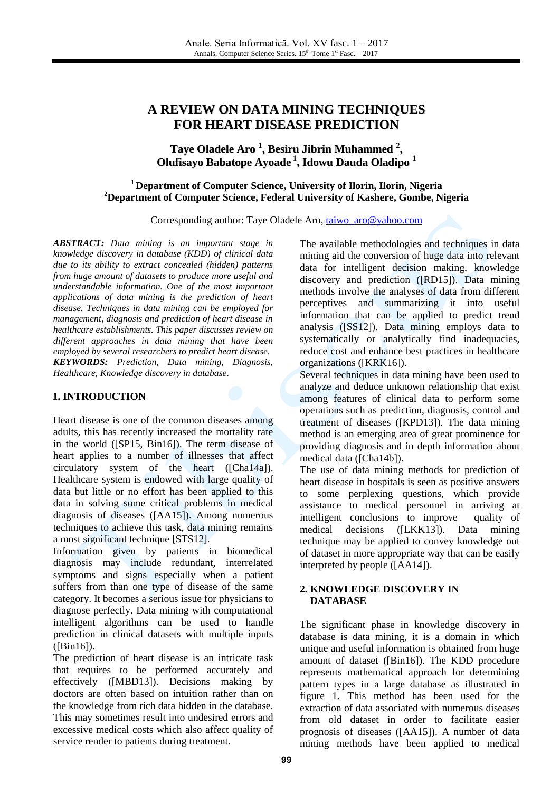# **A REVIEW ON DATA MINING TECHNIQUES FOR HEART DISEASE PREDICTION**

# **Taye Oladele Aro 1 , Besiru Jibrin Muhammed 2 , Olufisayo Babatope Ayoade 1 , Idowu Dauda Oladipo 1**

### **<sup>1</sup> Department of Computer Science, University of Ilorin, Ilorin, Nigeria <sup>2</sup>Department of Computer Science, Federal University of Kashere, Gombe, Nigeria**

Corresponding author: Taye Oladele Aro, [taiwo\\_aro@yahoo.com](mailto:taiwo_aro@yahoo.com)

*ABSTRACT: Data mining is an important stage in knowledge discovery in database (KDD) of clinical data due to its ability to extract concealed (hidden) patterns from huge amount of datasets to produce more useful and understandable information. One of the most important applications of data mining is the prediction of heart disease. Techniques in data mining can be employed for management, diagnosis and prediction of heart disease in healthcare establishments. This paper discusses review on different approaches in data mining that have been employed by several researchers to predict heart disease. KEYWORDS: Prediction, Data mining, Diagnosis, Healthcare, Knowledge discovery in database.*

#### **1. INTRODUCTION**

Heart disease is one of the common diseases among adults, this has recently increased the mortality rate in the world ([SP15, Bin16]). The term disease of heart applies to a number of illnesses that affect circulatory system of the heart ([Cha14a]). Healthcare system is endowed with large quality of data but little or no effort has been applied to this data in solving some critical problems in medical diagnosis of diseases ([AA15]). Among numerous techniques to achieve this task, data mining remains a most significant technique [STS12].

Information given by patients in biomedical diagnosis may include redundant, interrelated symptoms and signs especially when a patient suffers from than one type of disease of the same category. It becomes a serious issue for physicians to diagnose perfectly. Data mining with computational intelligent algorithms can be used to handle prediction in clinical datasets with multiple inputs  $(IBin16]$ ).

The prediction of heart disease is an intricate task that requires to be performed accurately and effectively ([MBD13]). Decisions making by doctors are often based on intuition rather than on the knowledge from rich data hidden in the database. This may sometimes result into undesired errors and excessive medical costs which also affect quality of service render to patients during treatment.

The available methodologies and techniques in data mining aid the conversion of huge data into relevant data for intelligent decision making, knowledge discovery and prediction ([RD15]). Data mining methods involve the analyses of data from different perceptives and summarizing it into useful information that can be applied to predict trend analysis ([SS12]). Data mining employs data to systematically or analytically find inadequacies, reduce cost and enhance best practices in healthcare organizations ([KRK16]).

Several techniques in data mining have been used to analyze and deduce unknown relationship that exist among features of clinical data to perform some operations such as prediction, diagnosis, control and treatment of diseases ([KPD13]). The data mining method is an emerging area of great prominence for providing diagnosis and in depth information about medical data ([Cha14b]).

The use of data mining methods for prediction of heart disease in hospitals is seen as positive answers to some perplexing questions, which provide assistance to medical personnel in arriving at intelligent conclusions to improve quality of medical decisions ([LKK13]). Data mining technique may be applied to convey knowledge out of dataset in more appropriate way that can be easily interpreted by people ([AA14]).

#### **2. KNOWLEDGE DISCOVERY IN DATABASE**

The significant phase in knowledge discovery in database is data mining, it is a domain in which unique and useful information is obtained from huge amount of dataset ([Bin16]). The KDD procedure represents mathematical approach for determining pattern types in a large database as illustrated in figure 1. This method has been used for the extraction of data associated with numerous diseases from old dataset in order to facilitate easier prognosis of diseases ([AA15]). A number of data mining methods have been applied to medical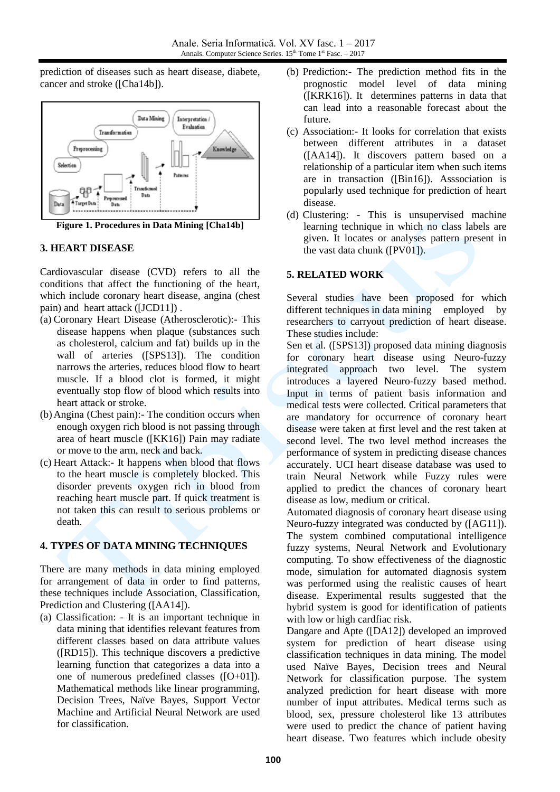prediction of diseases such as heart disease, diabete, cancer and stroke ([Cha14b]).



**Figure 1. Procedures in Data Mining [Cha14b]**

### **3. HEART DISEASE**

Cardiovascular disease (CVD) refers to all the conditions that affect the functioning of the heart, which include coronary heart disease, angina (chest pain) and heart attack ([JCD11]) .

- (a) Coronary Heart Disease (Atherosclerotic):- This disease happens when plaque (substances such as cholesterol, calcium and fat) builds up in the wall of arteries ([SPS13]). The condition narrows the arteries, reduces blood flow to heart muscle. If a blood clot is formed, it might eventually stop flow of blood which results into heart attack or stroke.
- (b)Angina (Chest pain):- The condition occurs when enough oxygen rich blood is not passing through area of heart muscle ([KK16]) Pain may radiate or move to the arm, neck and back.
- (c) Heart Attack:- It happens when blood that flows to the heart muscle is completely blocked. This disorder prevents oxygen rich in blood from reaching heart muscle part. If quick treatment is not taken this can result to serious problems or death.

# **4. TYPES OF DATA MINING TECHNIQUES**

There are many methods in data mining employed for arrangement of data in order to find patterns, these techniques include Association, Classification, Prediction and Clustering ([AA14]).

(a) Classification: - It is an important technique in data mining that identifies relevant features from different classes based on data attribute values ([RD15]). This technique discovers a predictive learning function that categorizes a data into a one of numerous predefined classes ([O+01]). Mathematical methods like linear programming, Decision Trees, Naïve Bayes, Support Vector Machine and Artificial Neural Network are used for classification.

- (b) Prediction:- The prediction method fits in the prognostic model level of data mining ([KRK16]). It determines patterns in data that can lead into a reasonable forecast about the future.
- (c) Association:- It looks for correlation that exists between different attributes in a dataset ([AA14]). It discovers pattern based on a relationship of a particular item when such items are in transaction ([Bin16]). Asssociation is popularly used technique for prediction of heart disease.
- (d) Clustering: This is unsupervised machine learning technique in which no class labels are given. It locates or analyses pattern present in the vast data chunk ([PV01]).

# **5. RELATED WORK**

Several studies have been proposed for which different techniques in data mining employed by researchers to carryout prediction of heart disease. These studies include:

Sen et al. ([SPS13]) proposed data mining diagnosis for coronary heart disease using Neuro-fuzzy integrated approach two level. The system introduces a layered Neuro-fuzzy based method. Input in terms of patient basis information and medical tests were collected. Critical parameters that are mandatory for occurrence of coronary heart disease were taken at first level and the rest taken at second level. The two level method increases the performance of system in predicting disease chances accurately. UCI heart disease database was used to train Neural Network while Fuzzy rules were applied to predict the chances of coronary heart disease as low, medium or critical.

Automated diagnosis of coronary heart disease using Neuro-fuzzy integrated was conducted by ([AG11]). The system combined computational intelligence fuzzy systems, Neural Network and Evolutionary computing. To show effectiveness of the diagnostic mode, simulation for automated diagnosis system was performed using the realistic causes of heart disease. Experimental results suggested that the hybrid system is good for identification of patients with low or high cardfiac risk.

Dangare and Apte ([DA12]) developed an improved system for prediction of heart disease using classification techniques in data mining. The model used Naïve Bayes, Decision trees and Neural Network for classification purpose. The system analyzed prediction for heart disease with more number of input attributes. Medical terms such as blood, sex, pressure cholesterol like 13 attributes were used to predict the chance of patient having heart disease. Two features which include obesity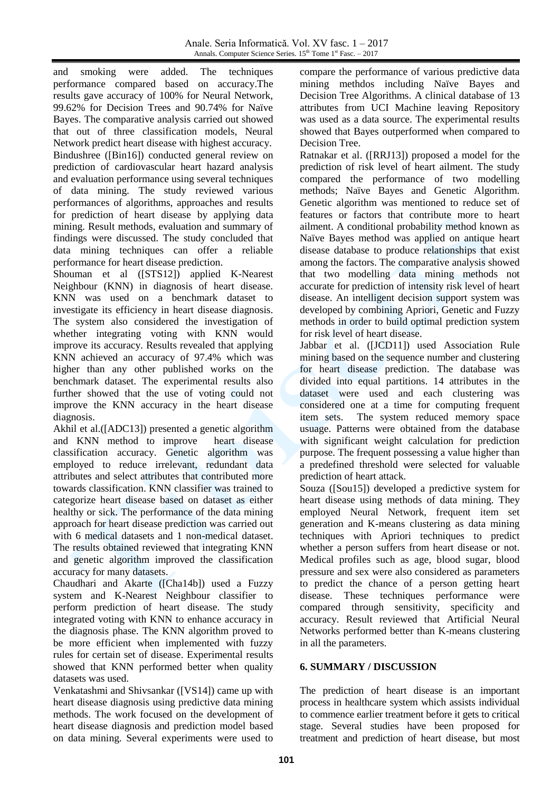Anale. Seria Informatică. Vol. XV fasc. 1 – 2017 Annals. Computer Science Series. 15<sup>th</sup> Tome 1<sup>st</sup> Fasc. - 2017

and smoking were added. The techniques performance compared based on accuracy.The results gave accuracy of 100% for Neural Network, 99.62% for Decision Trees and 90.74% for Naïve Bayes. The comparative analysis carried out showed that out of three classification models, Neural Network predict heart disease with highest accuracy. Bindushree ([Bin16]) conducted general review on prediction of cardiovascular heart hazard analysis and evaluation performance using several techniques of data mining. The study reviewed various performances of algorithms, approaches and results for prediction of heart disease by applying data mining. Result methods, evaluation and summary of findings were discussed. The study concluded that data mining techniques can offer a reliable performance for heart disease prediction.

Shouman et al ([STS12]) applied K-Nearest Neighbour (KNN) in diagnosis of heart disease. KNN was used on a benchmark dataset to investigate its efficiency in heart disease diagnosis. The system also considered the investigation of whether integrating voting with KNN would improve its accuracy. Results revealed that applying KNN achieved an accuracy of 97.4% which was higher than any other published works on the benchmark dataset. The experimental results also further showed that the use of voting could not improve the KNN accuracy in the heart disease diagnosis.

Akhil et al.([ADC13]) presented a genetic algorithm and KNN method to improve heart disease classification accuracy. Genetic algorithm was employed to reduce irrelevant, redundant data attributes and select attributes that contributed more towards classification. KNN classifier was trained to categorize heart disease based on dataset as either healthy or sick. The performance of the data mining approach for heart disease prediction was carried out with 6 medical datasets and 1 non-medical dataset. The results obtained reviewed that integrating KNN and genetic algorithm improved the classification accuracy for many datasets.

Chaudhari and Akarte ([Cha14b]) used a Fuzzy system and K-Nearest Neighbour classifier to perform prediction of heart disease. The study integrated voting with KNN to enhance accuracy in the diagnosis phase. The KNN algorithm proved to be more efficient when implemented with fuzzy rules for certain set of disease. Experimental results showed that KNN performed better when quality datasets was used.

Venkatashmi and Shivsankar ([VS14]) came up with heart disease diagnosis using predictive data mining methods. The work focused on the development of heart disease diagnosis and prediction model based on data mining. Several experiments were used to

compare the performance of various predictive data mining methdos including Naïve Bayes and Decision Tree Algorithms. A clinical database of 13 attributes from UCI Machine leaving Repository was used as a data source. The experimental results showed that Bayes outperformed when compared to Decision Tree.

Ratnakar et al. ([RRJ13]) proposed a model for the prediction of risk level of heart ailment. The study compared the performance of two modelling methods; Naïve Bayes and Genetic Algorithm. Genetic algorithm was mentioned to reduce set of features or factors that contribute more to heart ailment. A conditional probability method known as Naïve Bayes method was applied on antique heart disease database to produce relationships that exist among the factors. The comparative analysis showed that two modelling data mining methods not accurate for prediction of intensity risk level of heart disease. An intelligent decision support system was developed by combining Apriori, Genetic and Fuzzy methods in order to build optimal prediction system for risk level of heart disease.

Jabbar et al. ([JCD11]) used Association Rule mining based on the sequence number and clustering for heart disease prediction. The database was divided into equal partitions. 14 attributes in the dataset were used and each clustering was considered one at a time for computing frequent item sets. The system reduced memory space usuage. Patterns were obtained from the database with significant weight calculation for prediction purpose. The frequent possessing a value higher than a predefined threshold were selected for valuable prediction of heart attack.

Souza ([Sou15]) developed a predictive system for heart disease using methods of data mining. They employed Neural Network, frequent item set generation and K-means clustering as data mining techniques with Apriori techniques to predict whether a person suffers from heart disease or not. Medical profiles such as age, blood sugar, blood pressure and sex were also considered as parameters to predict the chance of a person getting heart disease. These techniques performance were compared through sensitivity, specificity and accuracy. Result reviewed that Artificial Neural Networks performed better than K-means clustering in all the parameters.

### **6. SUMMARY / DISCUSSION**

The prediction of heart disease is an important process in healthcare system which assists individual to commence earlier treatment before it gets to critical stage. Several studies have been proposed for treatment and prediction of heart disease, but most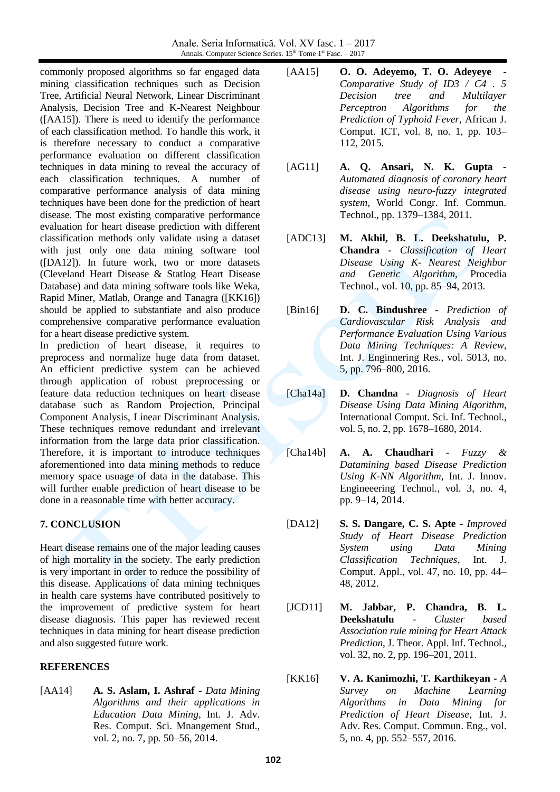commonly proposed algorithms so far engaged data mining classification techniques such as Decision Tree, Artificial Neural Network, Linear Discriminant Analysis, Decision Tree and K-Nearest Neighbour ([AA15]). There is need to identify the performance of each classification method. To handle this work, it is therefore necessary to conduct a comparative performance evaluation on different classification techniques in data mining to reveal the accuracy of each classification techniques. A number of comparative performance analysis of data mining techniques have been done for the prediction of heart disease. The most existing comparative performance evaluation for heart disease prediction with different classification methods only validate using a dataset with just only one data mining software tool ([DA12]). In future work, two or more datasets (Cleveland Heart Disease & Statlog Heart Disease Database) and data mining software tools like Weka, Rapid Miner, Matlab, Orange and Tanagra ([KK16]) should be applied to substantiate and also produce comprehensive comparative performance evaluation for a heart disease predictive system.

In prediction of heart disease, it requires to preprocess and normalize huge data from dataset. An efficient predictive system can be achieved through application of robust preprocessing or feature data reduction techniques on heart disease database such as Random Projection, Principal Component Analysis, Linear Discriminant Analysis. These techniques remove redundant and irrelevant information from the large data prior classification. Therefore, it is important to introduce techniques aforementioned into data mining methods to reduce memory space usuage of data in the database. This will further enable prediction of heart disease to be done in a reasonable time with better accuracy.

### **7. CONCLUSION**

Heart disease remains one of the major leading causes of high mortality in the society. The early prediction is very important in order to reduce the possibility of this disease. Applications of data mining techniques in health care systems have contributed positively to the improvement of predictive system for heart disease diagnosis. This paper has reviewed recent techniques in data mining for heart disease prediction and also suggested future work.

### **REFERENCES**

[AA14] **A. S. Aslam, I. Ashraf** - *Data Mining Algorithms and their applications in Education Data Mining*, Int. J. Adv. Res. Comput. Sci. Mnangement Stud., vol. 2, no. 7, pp. 50–56, 2014.

- [AA15] **O. O. Adeyemo, T. O. Adeyeye** *Comparative Study of ID3 / C4 . 5 Decision tree and Multilayer Perceptron Algorithms for the Prediction of Typhoid Fever*, African J. Comput. ICT, vol. 8, no. 1, pp. 103– 112, 2015.
- [AG11] **A. Q. Ansari, N. K. Gupta -** *Automated diagnosis of coronary heart disease using neuro-fuzzy integrated system*, World Congr. Inf. Commun. Technol., pp. 1379–1384, 2011.
- [ADC13] **M. Akhil, B. L. Deekshatulu, P. Chandra -** *Classification of Heart Disease Using K- Nearest Neighbor and Genetic Algorithm*, Procedia Technol., vol. 10, pp. 85–94, 2013.
- [Bin16] **D. C. Bindushree -** *Prediction of Cardiovascular Risk Analysis and Performance Evaluation Using Various Data Mining Techniques: A Review*, Int. J. Enginnering Res., vol. 5013, no. 5, pp. 796–800, 2016.

[Cha14a] **D. Chandna** - *Diagnosis of Heart Disease Using Data Mining Algorithm*, International Comput. Sci. Inf. Technol., vol. 5, no. 2, pp. 1678–1680, 2014.

- [Cha14b] **A. A. Chaudhari** *Fuzzy & Datamining based Disease Prediction Using K-NN Algorithm*, Int. J. Innov. Engineeering Technol., vol. 3, no. 4, pp. 9–14, 2014.
- [DA12] **S. S. Dangare, C. S. Apte -** *Improved Study of Heart Disease Prediction System using Data Mining Classification Techniques*, Int. J. Comput. Appl., vol. 47, no. 10, pp. 44– 48, 2012.
- [JCD11] **M. Jabbar, P. Chandra, B. L. Deekshatulu** - *Cluster based Association rule mining for Heart Attack Prediction*, J. Theor. Appl. Inf. Technol., vol. 32, no. 2, pp. 196–201, 2011.
- [KK16] **V. A. Kanimozhi, T. Karthikeyan -** *A Survey on Machine Learning Algorithms in Data Mining for Prediction of Heart Disease*, Int. J. Adv. Res. Comput. Commun. Eng., vol. 5, no. 4, pp. 552–557, 2016.